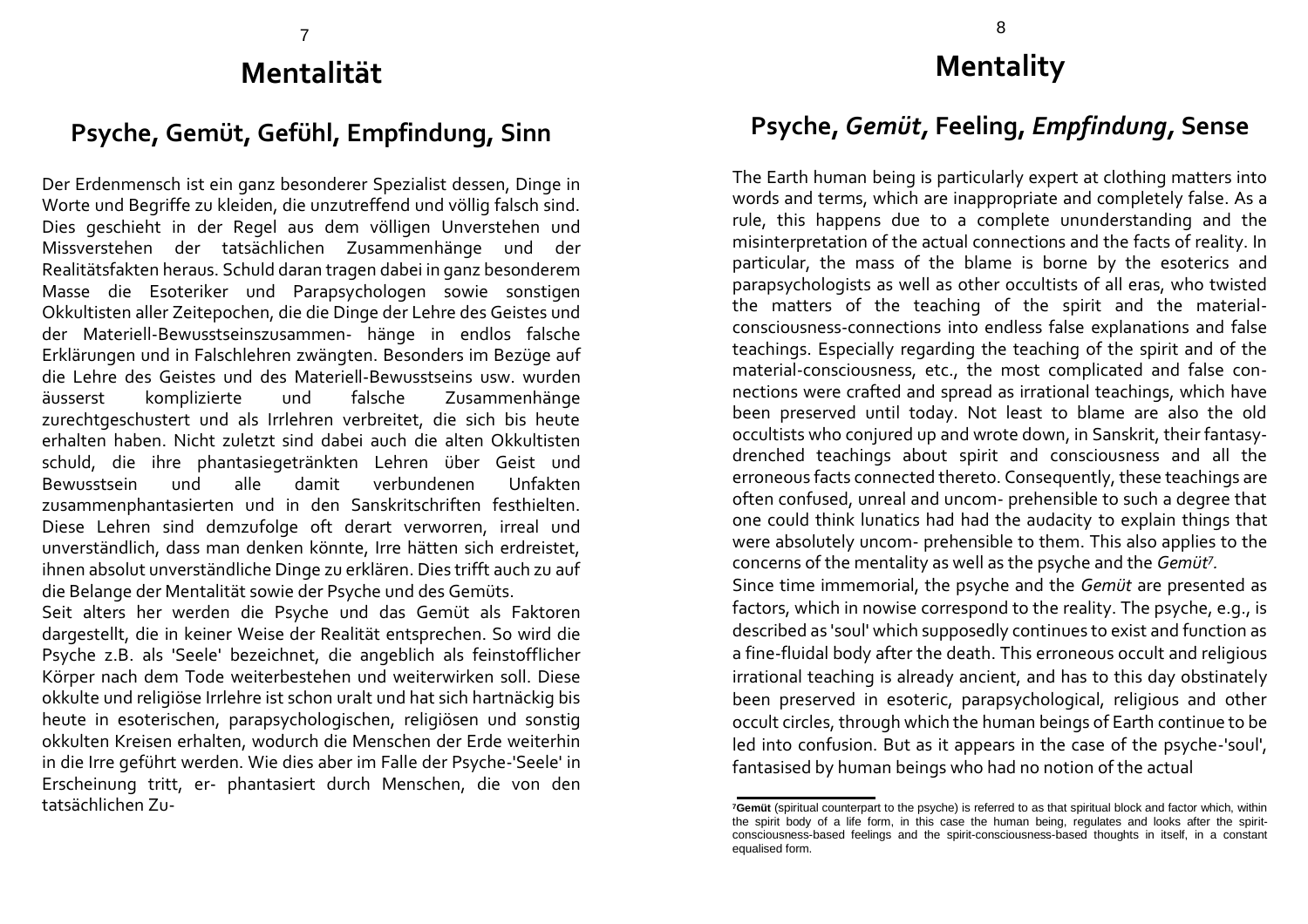## 7 **Mentalität**

## **Psyche, Gemüt, Gefühl, Empfindung, Sinn**

Der Erdenmensch ist ein ganz besonderer Spezialist dessen, Dinge in Worte und Begriffe zu kleiden, die unzutreffend und völlig falsch sind. Dies geschieht in der Regel aus dem völligen Unverstehen und Missverstehen der tatsächlichen Zusammenhänge und der Realitätsfakten heraus. Schuld daran tragen dabei in ganz besonderem Masse die Esoteriker und Parapsychologen sowie sonstigen Okkultisten aller Zeitepochen, die die Dinge der Lehre des Geistes und der Materiell-Bewusstseinszusammen- hänge in endlos falsche Erklärungen und in Falschlehren zwängten. Besonders im Bezüge auf die Lehre des Geistes und des Materiell-Bewusstseins usw. wurden äusserst komplizierte und falsche Zusammenhänge zurechtgeschustert und als Irrlehren verbreitet, die sich bis heute erhalten haben. Nicht zuletzt sind dabei auch die alten Okkultisten schuld, die ihre phantasiegetränkten Lehren über Geist und Bewusstsein und alle damit verbundenen Unfakten zusammenphantasierten und in den Sanskritschriften festhielten. Diese Lehren sind demzufolge oft derart verworren, irreal und unverständlich, dass man denken könnte, Irre hätten sich erdreistet, ihnen absolut unverständliche Dinge zu erklären. Dies trifft auch zu auf die Belange der Mentalität sowie der Psyche und des Gemüts.

Seit alters her werden die Psyche und das Gemüt als Faktoren dargestellt, die in keiner Weise der Realität entsprechen. So wird die Psyche z.B. als 'Seele' bezeichnet, die angeblich als feinstofflicher Körper nach dem Tode weiterbestehen und weiterwirken soll. Diese okkulte und religiöse Irrlehre ist schon uralt und hat sich hartnäckig bis heute in esoterischen, parapsychologischen, religiösen und sonstig okkulten Kreisen erhalten, wodurch die Menschen der Erde weiterhin in die Irre geführt werden. Wie dies aber im Falle der Psyche-'Seele' in Erscheinung tritt, er- phantasiert durch Menschen, die von den tatsächlichen Zu-

## **Mentality**

## **Psyche,** *Gemüt,* **Feeling,** *Empfindung,* **Sense**

The Earth human being is particularly expert at clothing matters into words and terms, which are inappropriate and completely false. As a rule, this happens due to a complete ununderstanding and the misinterpretation of the actual connections and the facts of reality. In particular, the mass of the blame is borne by the esoterics and parapsychologists as well as other occultists of all eras, who twisted the matters of the teaching of the spirit and the materialconsciousness-connections into endless false explanations and false teachings. Especially regarding the teaching of the spirit and of the material-consciousness, etc., the most complicated and false connections were crafted and spread as irrational teachings, which have been preserved until today. Not least to blame are also the old occultists who conjured up and wrote down, in Sanskrit, their fantasydrenched teachings about spirit and consciousness and all the erroneous facts connected thereto. Consequently, these teachings are often confused, unreal and uncom- prehensible to such a degree that one could think lunatics had had the audacity to explain things that were absolutely uncom- prehensible to them. This also applies to the concerns of the mentality as well as the psyche and the *Gemüt<sup>7</sup> .* Since time immemorial, the psyche and the *Gemüt* are presented as

factors, which in nowise correspond to the reality. The psyche, e.g., is described as 'soul' which supposedly continues to exist and function as a fine-fluidal body after the death. This erroneous occult and religious irrational teaching is already ancient, and has to this day obstinately been preserved in esoteric, parapsychological, religious and other occult circles, through which the human beings of Earth continue to be led into confusion. But as it appears in the case of the psyche-'soul', fantasised by human beings who had no notion of the actual

**<sup>7</sup>Gemüt** (spiritual counterpart to the psyche) is referred to as that spiritual block and factor which, within the spirit body of a life form, in this case the human being, regulates and looks after the spiritconsciousness-based feelings and the spirit-consciousness-based thoughts in itself, in a constant equalised form.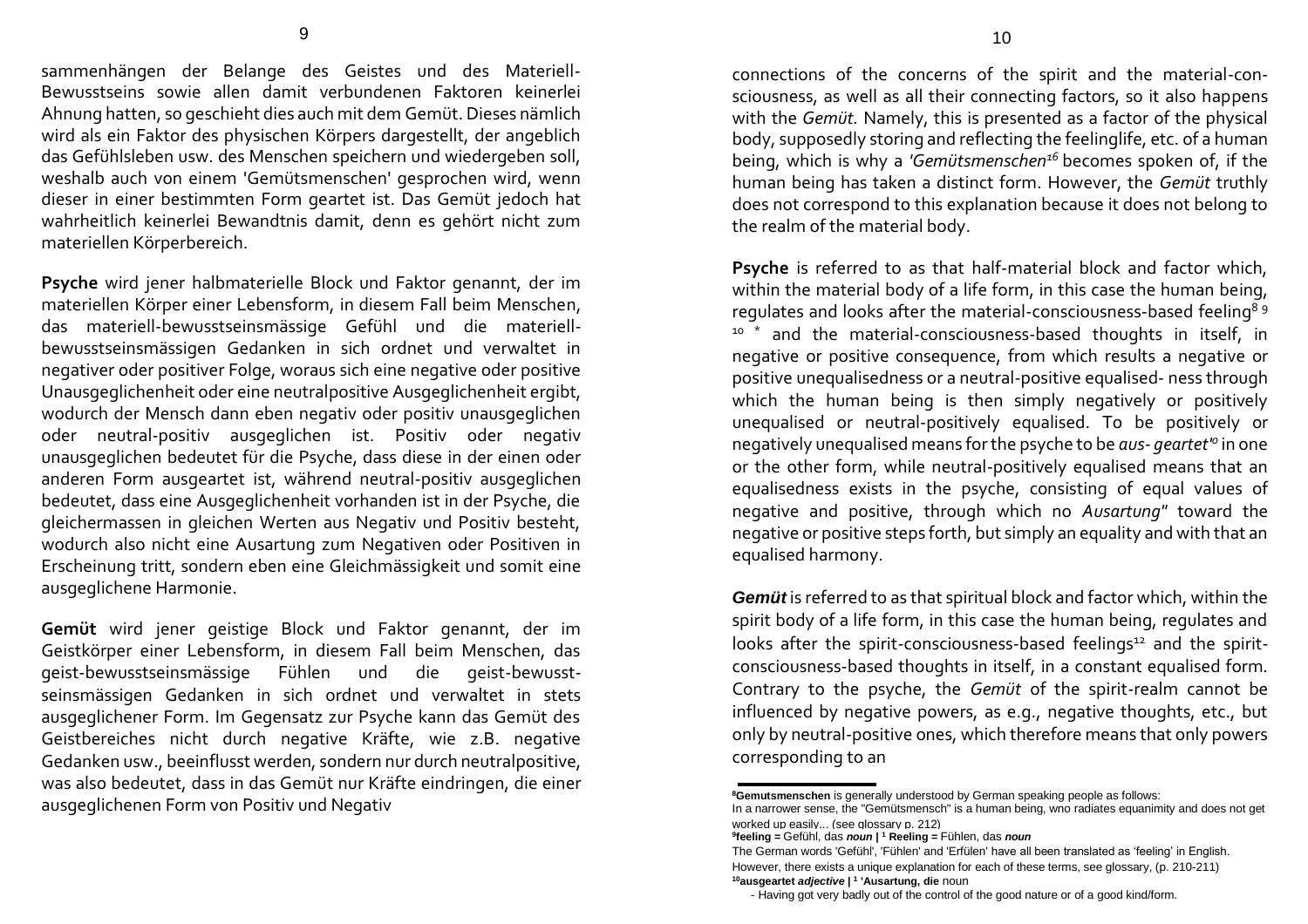sammenhängen der Belange des Geistes und des Materiell-Bewusstseins sowie allen damit verbundenen Faktoren keinerlei Ahnung hatten, so geschieht dies auch mit dem Gemüt. Dieses nämlich wird als ein Faktor des physischen Körpers dargestellt, der angeblich das Gefühlsleben usw. des Menschen speichern und wiedergeben soll, weshalb auch von einem 'Gemütsmenschen' gesprochen wird, wenn dieser in einer bestimmten Form geartet ist. Das Gemüt jedoch hat wahrheitlich keinerlei Bewandtnis damit, denn es gehört nicht zum materiellen Körperbereich.

**Psyche** wird jener halbmaterielle Block und Faktor genannt, der im materiellen Körper einer Lebensform, in diesem Fall beim Menschen, das materiell-bewusstseinsmässige Gefühl und die materiellbewusstseinsmässigen Gedanken in sich ordnet und verwaltet in negativer oder positiver Folge, woraus sich eine negative oder positive Unausgeglichenheit oder eine neutralpositive Ausgeglichenheit ergibt, wodurch der Mensch dann eben negativ oder positiv unausgeglichen oder neutral-positiv ausgeglichen ist. Positiv oder negativ unausgeglichen bedeutet für die Psyche, dass diese in der einen oder anderen Form ausgeartet ist, während neutral-positiv ausgeglichen bedeutet, dass eine Ausgeglichenheit vorhanden ist in der Psyche, die gleichermassen in gleichen Werten aus Negativ und Positiv besteht, wodurch also nicht eine Ausartung zum Negativen oder Positiven in Erscheinung tritt, sondern eben eine Gleichmässigkeit und somit eine ausgeglichene Harmonie.

**Gemüt** wird jener geistige Block und Faktor genannt, der im Geistkörper einer Lebensform, in diesem Fall beim Menschen, das geist-bewusstseinsmässige Fühlen und die geist-bewusstseinsmässigen Gedanken in sich ordnet und verwaltet in stets ausgeglichener Form. Im Gegensatz zur Psyche kann das Gemüt des Geistbereiches nicht durch negative Kräfte, wie z.B. negative Gedanken usw., beeinflusst werden, sondern nur durch neutralpositive, was also bedeutet, dass in das Gemüt nur Kräfte eindringen, die einer ausgeglichenen Form von Positiv und Negativ

connections of the concerns of the spirit and the material-consciousness, as well as all their connecting factors, so it also happens with the *Gemüt.* Namely, this is presented as a factor of the physical body, supposedly storing and reflecting the feelinglife, etc. of a human being, which is why a *'Gemütsmenschen<sup>16</sup>*becomes spoken of, if the human being has taken a distinct form. However, the *Gemüt* truthly does not correspond to this explanation because it does not belong to the realm of the material body.

**Psyche** is referred to as that half-material block and factor which, within the material body of a life form, in this case the human being, regulates and looks after the material-consciousness-based feeling<sup>89</sup> <sup>10</sup> \* and the material-consciousness-based thoughts in itself, in negative or positive consequence, from which results a negative or positive unequalisedness or a neutral-positive equalised- ness through which the human being is then simply negatively or positively unequalised or neutral-positively equalised. To be positively or negatively unequalised means for the psyche to be *aus- geartet'<sup>0</sup>* in one or the other form, while neutral-positively equalised means that an equalisedness exists in the psyche, consisting of equal values of negative and positive, through which no *Ausartung"* toward the negative or positive steps forth, but simply an equality and with that an equalised harmony.

*Gemüt* is referred to as that spiritual block and factor which, within the spirit body of a life form, in this case the human being, regulates and looks after the spirit-consciousness-based feelings<sup>12</sup> and the spiritconsciousness-based thoughts in itself, in a constant equalised form. Contrary to the psyche, the *Gemüt* of the spirit-realm cannot be influenced by negative powers, as e.g., negative thoughts, etc., but only by neutral-positive ones, which therefore means that only powers corresponding to an

**9 feeling =** Gefühl, das *noun* **| <sup>1</sup> Reeling =** Fühlen, das *noun*

**<sup>10</sup>ausgeartet** *adjective* **| <sup>1</sup> 'Ausartung, die** noun

**<sup>8</sup>Gemutsmenschen** is generally understood by German speaking people as follows:

In a narrower sense, the "Gemütsmensch" is a human being, wno radiates equanimity and does not get worked up easily... (see glossary p. 212)

The German words 'Gefühl', 'Fühlen' and 'Erfülen' have all been translated as 'feeling' in English. However, there exists a unique explanation for each of these terms, see glossary, (p. 210-211)

<sup>-</sup> Having got very badly out of the control of the good nature or of a good kind/form.